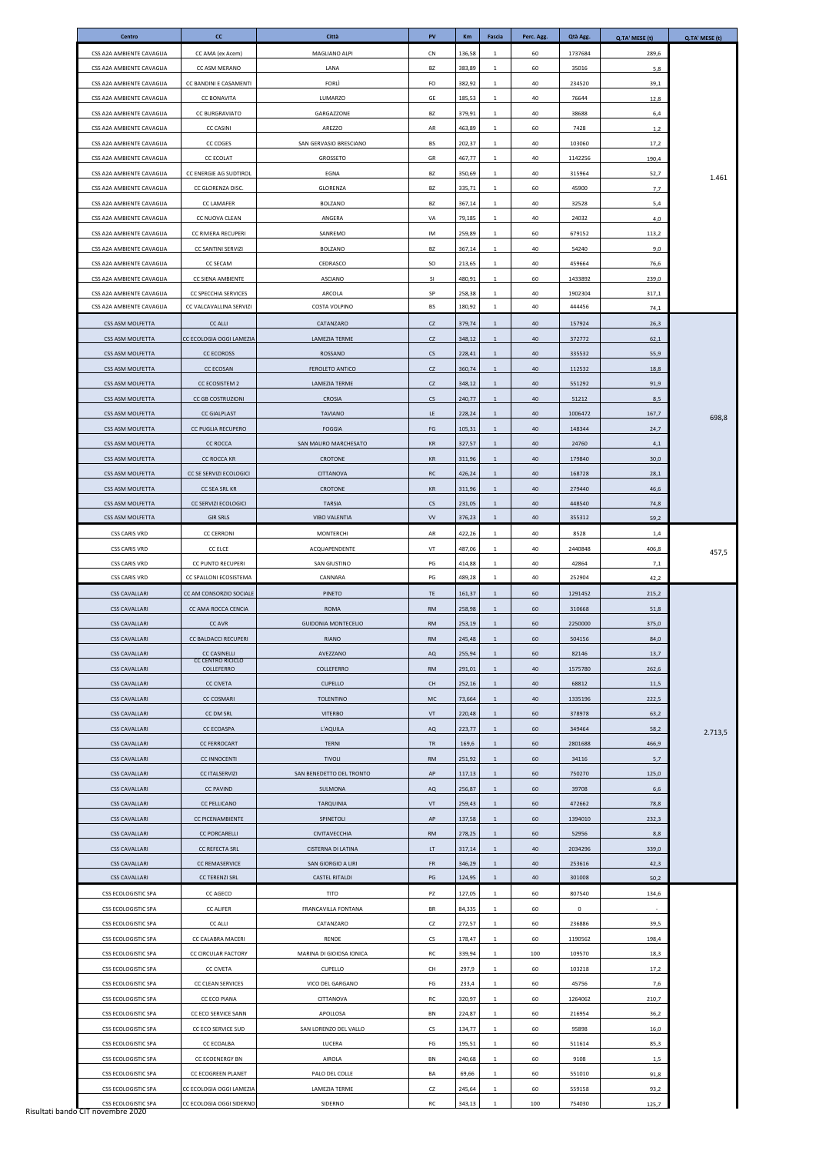| Centro                                                 | cc                                                   | Città                                     | <b>PV</b>              | <b>Km</b>        | Fascia            | Perc. Agg. | Qtà Agg.          | Q.TA' MESE (t) | Q.TA' MESE (t) |
|--------------------------------------------------------|------------------------------------------------------|-------------------------------------------|------------------------|------------------|-------------------|------------|-------------------|----------------|----------------|
| CSS A2A AMBIENTE CAVAGLIA                              | CC AMA (ex Acem)                                     | MAGLIANO ALPI                             | <b>CN</b>              | 136,58           | 1                 | 60         | 1737684           | 289,6          |                |
| CSS A2A AMBIENTE CAVAGLIA                              | CC ASM MERANO                                        | LANA                                      | BZ                     | 383,89           | 1                 | 60         | 35016             | 5,8            |                |
| CSS A2A AMBIENTE CAVAGLIA                              | CC BANDINI E CASAMENTI                               | <b>FORLI</b>                              | FO                     | 382,92           | 1                 | 40         | 234520            | 39,1           |                |
| CSS A2A AMBIENTE CAVAGLIA                              | <b>CC BONAVITA</b>                                   | LUMARZO                                   | GE                     | 185,53           | 1                 | 40         | 76644             | 12,8           |                |
| CSS A2A AMBIENTE CAVAGLIA                              | <b>CC BURGRAVIATO</b>                                | GARGAZZONE                                | BZ                     | 379,91           | $\mathbf{1}$      | 40         | 38688             | 6,4            |                |
| CSS A2A AMBIENTE CAVAGLIA                              | <b>CC CASINI</b>                                     | AREZZO<br>SAN GERVASIO BRESCIANO          | AR                     | 463,89           | 1                 | 60         | 7428              | 1,2            |                |
| CSS A2A AMBIENTE CAVAGLIA<br>CSS A2A AMBIENTE CAVAGLIA | CC COGES<br><b>CC ECOLAT</b>                         | GROSSETO                                  | BS<br>GR               | 202,37<br>467,77 | <sup>1</sup><br>1 | 40<br>40   | 103060<br>1142256 | 17,2<br>190,4  |                |
| CSS A2A AMBIENTE CAVAGLIA                              | CC ENERGIE AG SUDTIROL                               | EGNA                                      | BZ                     | 350,69           | 1                 | 40         | 315964            | 52,7           |                |
| CSS A2A AMBIENTE CAVAGLIA                              | CC GLORENZA DISC.                                    | GLORENZA                                  | BZ                     | 335,71           | 1                 | 60         | 45900             | 7,7            | 1.461          |
| CSS A2A AMBIENTE CAVAGLIA                              | <b>CC LAMAFER</b>                                    | <b>BOLZANO</b>                            | BZ                     | 367,14           | 1                 | 40         | 32528             | 5,4            |                |
| CSS A2A AMBIENTE CAVAGLIA                              | CC NUOVA CLEAN                                       | ANGERA                                    | VA                     | 79,185           | 1                 | 40         | 24032             | 4,0            |                |
| CSS A2A AMBIENTE CAVAGLIA                              | CC RIVIERA RECUPERI                                  | SANREMO                                   | IM                     | 259,89           | 1                 | 60         | 679152            | 113,2          |                |
| CSS A2A AMBIENTE CAVAGLIA                              | CC SANTINI SERVIZI                                   | BOLZANO                                   | BZ                     | 367,14           | $\mathbf{1}$      | 40         | 54240             | 9,0            |                |
| CSS A2A AMBIENTE CAVAGLIA                              | CC SECAM                                             | CEDRASCO                                  | SO                     | 213,65           | 1                 | 40         | 459664            | 76,6           |                |
| CSS A2A AMBIENTE CAVAGLIA                              | CC SIENA AMBIENTE                                    | <b>ASCIANO</b>                            | SI                     | 480,91           | 1                 | 60         | 1433892           | 239,0          |                |
| CSS A2A AMBIENTE CAVAGLIA<br>CSS A2A AMBIENTE CAVAGLIA | CC SPECCHIA SERVICES<br>CC VALCAVALLINA SERVIZI      | ARCOLA<br>COSTA VOLPINO                   | SP<br><b>BS</b>        | 258,38<br>180,92 | 1<br>$\mathbf{1}$ | 40<br>40   | 1902304<br>444456 | 317,1<br>74,1  |                |
| CSS ASM MOLFETTA                                       | <b>CC ALLI</b>                                       | CATANZARO                                 | CZ                     | 379,74           | 1                 | 40         | 157924            | 26,3           |                |
| CSS ASM MOLFETTA                                       | CC ECOLOGIA OGGI LAMEZIA                             | LAMEZIA TERME                             | CZ                     | 348,12           | 1                 | 40         | 372772            | 62,1           |                |
| CSS ASM MOLFETTA                                       | <b>CC ECOROSS</b>                                    | ROSSANO                                   | CS                     | 228,41           | 1                 | 40         | 335532            | 55,9           |                |
| CSS ASM MOLFETTA                                       | <b>CC ECOSAN</b>                                     | <b>FEROLETO ANTICO</b>                    | CZ                     | 360,74           | 1                 | 40         | 112532            | 18,8           |                |
| CSS ASM MOLFETTA                                       | CC ECOSISTEM 2                                       | LAMEZIA TERME                             | CZ                     | 348,12           | 1                 | 40         | 551292            | 91,9           |                |
| CSS ASM MOLFETTA                                       | <b>CC GB COSTRUZIONI</b>                             | CROSIA                                    | CS                     | 240,77           | 1                 | 40         | 51212             | 8,5            |                |
| CSS ASM MOLFETTA                                       | <b>CC GIALPLAST</b>                                  | <b>TAVIANO</b>                            | LE.                    | 228,24           | 1                 | 40         | 1006472           | 167,7          | 698,8          |
| CSS ASM MOLFETTA                                       | CC PUGLIA RECUPERO                                   | <b>FOGGIA</b>                             | FG                     | 105,31           | 1                 | 40         | 148344            | 24,7           |                |
| CSS ASM MOLFETTA                                       | <b>CC ROCCA</b>                                      | SAN MAURO MARCHESATO                      | KR                     | 327,57           | 1                 | 40         | 24760             | 4,1            |                |
| CSS ASM MOLFETTA<br>CSS ASM MOLFETTA                   | CC ROCCA KR<br>CC SE SERVIZI ECOLOGICI               | CROTONE<br><b>CITTANOVA</b>               | KR                     | 311,96           | $\overline{1}$    | 40<br>40   | 179840            | 30,0           |                |
| CSS ASM MOLFETTA                                       | CC SEA SRL KR                                        | CROTONE                                   | RC<br>KR               | 426,24<br>311,96 | 1<br>1            | 40         | 168728<br>279440  | 28,1<br>46,6   |                |
| CSS ASM MOLFETTA                                       | CC SERVIZI ECOLOGICI                                 | <b>TARSIA</b>                             | CS                     | 231,05           | 1                 | 40         | 448540            | 74,8           |                |
| CSS ASM MOLFETTA                                       | <b>GIR SRLS</b>                                      | <b>VIBO VALENTIA</b>                      | <b>VV</b>              | 376,23           | 1                 | 40         | 355312            | 59,2           |                |
| <b>CSS CARIS VRD</b>                                   | <b>CC CERRONI</b>                                    | MONTERCHI                                 | AR                     | 422,26           | $\mathbf{1}$      | 40         | 8528              | 1,4            |                |
| <b>CSS CARIS VRD</b>                                   | CC ELCE                                              | ACQUAPENDENTE                             | VT                     | 487,06           | 1                 | 40         | 2440848           | 406,8          | 457,5          |
| <b>CSS CARIS VRD</b>                                   | CC PUNTO RECUPERI                                    | SAN GIUSTINO                              | PG                     | 414,88           | 1                 | 40         | 42864             | 7,1            |                |
| <b>CSS CARIS VRD</b>                                   | CC SPALLONI ECOSISTEMA                               | CANNARA                                   | PG                     | 489,28           | 1                 | 40         | 252904            | 42,2           |                |
| <b>CSS CAVALLARI</b>                                   | CC AM CONSORZIO SOCIALE                              | PINETO                                    | TE                     | 161,37           | 1                 | 60         | 1291452           | 215,2          |                |
| <b>CSS CAVALLARI</b><br><b>CSS CAVALLARI</b>           | CC AMA ROCCA CENCIA<br><b>CC AVR</b>                 | <b>ROMA</b><br><b>GUIDONIA MONTECELIO</b> | <b>RM</b><br><b>RM</b> | 258,98<br>253,19 | 1<br>1            | 60<br>60   | 310668<br>2250000 | 51,8<br>375,0  |                |
| <b>CSS CAVALLARI</b>                                   | CC BALDACCI RECUPERI                                 | <b>RIANO</b>                              | <b>RM</b>              | 245,48           | 1                 | 60         | 504156            | 84,0           |                |
| <b>CSS CAVALLARI</b>                                   | <b>CC CASINELLI</b>                                  | AVEZZANO                                  | AQ                     | 255,94           | 1                 | 60         | 82146             | 13,7           |                |
| <b>CSS CAVALLARI</b>                                   | CC CENTRO RICICLO<br>COLLEFERRO                      | COLLEFERRO                                | <b>RM</b>              | 291,01           | 1                 | 40         | 1575780           | 262,6          |                |
| <b>CSS CAVALLARI</b>                                   | <b>CC CIVETA</b>                                     | <b>CUPELLO</b>                            | <b>CH</b>              | 252,16           | 1                 | 40         | 68812             | 11,5           |                |
| <b>CSS CAVALLARI</b>                                   | <b>CC COSMARI</b>                                    | <b>TOLENTINO</b>                          | <b>MC</b>              | 73,664           | 1                 | 40         | 1335196           | 222,5          |                |
| <b>CSS CAVALLARI</b>                                   | CC DM SRL                                            | <b>VITERBO</b>                            | VT                     | 220,48           | 1                 | 60         | 378978            | 63,2           |                |
| <b>CSS CAVALLARI</b>                                   | CC ECOASPA                                           | <b>L'AQUILA</b>                           | AQ                     | 223,77           | 1                 | 60         | 349464            | 58,2           | 2.713,5        |
| <b>CSS CAVALLARI</b>                                   | <b>CC FERROCART</b>                                  | <b>TERNI</b>                              | TR                     | 169,6            | 1                 | 60         | 2801688           | 466,9          |                |
| <b>CSS CAVALLARI</b><br><b>CSS CAVALLARI</b>           | <b>CC INNOCENTI</b><br><b>CC ITALSERVIZI</b>         | <b>TIVOLI</b><br>SAN BENEDETTO DEL TRONTO | <b>RM</b><br>AP        | 251,92<br>117,13 | 1<br>1            | 60<br>60   | 34116<br>750270   | 5,7<br>125,0   |                |
| <b>CSS CAVALLARI</b>                                   | <b>CC PAVIND</b>                                     | SULMONA                                   | AQ                     | 256,87           | 1                 | 60         | 39708             | 6,6            |                |
| <b>CSS CAVALLARI</b>                                   | <b>CC PELLICANO</b>                                  | TARQUINIA                                 | VT                     | 259,43           | 1                 | 60         | 472662            | 78,8           |                |
| <b>CSS CAVALLARI</b>                                   | CC PICENAMBIENTE                                     | SPINETOLI                                 | AP                     | 137,58           | 1                 | 60         | 1394010           | 232,3          |                |
| <b>CSS CAVALLARI</b>                                   | <b>CC PORCARELLI</b>                                 | CIVITAVECCHIA                             | <b>RM</b>              | 278,25           | 1                 | 60         | 52956             | 8,8            |                |
| <b>CSS CAVALLARI</b>                                   | CC REFECTA SRL                                       | <b>CISTERNA DI LATINA</b>                 | LT.                    | 317,14           | 1                 | 40         | 2034296           | 339,0          |                |
| <b>CSS CAVALLARI</b>                                   | <b>CC REMASERVICE</b>                                | SAN GIORGIO A LIRI                        | <b>FR</b>              | 346,29           | 1                 | 40         | 253616            | 42,3           |                |
| <b>CSS CAVALLARI</b>                                   | <b>CC TERENZI SRL</b>                                | <b>CASTEL RITALDI</b>                     | PG                     | 124,95           | 1                 | 40         | 301008            | 50,2           |                |
| CSS ECOLOGISTIC SPA                                    | CC AGECO                                             | <b>TITO</b>                               | PZ                     | 127,05           | 1                 | 60         | 807540            | 134,6          |                |
| CSS ECOLOGISTIC SPA<br>CSS ECOLOGISTIC SPA             | <b>CC ALIFER</b><br><b>CC ALLI</b>                   | FRANCAVILLA FONTANA<br>CATANZARO          | BR<br>CZ               | 84,335<br>272,57 | $\mathbf{1}$<br>1 | 60<br>60   | 0<br>236886       | 39,5           |                |
| CSS ECOLOGISTIC SPA                                    | CC CALABRA MACERI                                    | RENDE                                     | CS                     | 178,47           | 1                 | 60         | 1190562           | 198,4          |                |
| CSS ECOLOGISTIC SPA                                    | CC CIRCULAR FACTORY                                  | MARINA DI GIOIOSA IONICA                  | RC                     | 339,94           | 1                 | 100        | 109570            | 18,3           |                |
| CSS ECOLOGISTIC SPA                                    | <b>CC CIVETA</b>                                     | CUPELLO                                   | <b>CH</b>              | 297,9            | 1                 | 60         | 103218            | 17,2           |                |
| CSS ECOLOGISTIC SPA                                    | CC CLEAN SERVICES                                    | VICO DEL GARGANO                          | FG                     | 233,4            | 1                 | 60         | 45756             | 7,6            |                |
| CSS ECOLOGISTIC SPA                                    | CC ECO PIANA                                         | CITTANOVA                                 | RC                     | 320,97           | 1                 | 60         | 1264062           | 210,7          |                |
| CSS ECOLOGISTIC SPA                                    | CC ECO SERVICE SANN                                  | APOLLOSA                                  | BN                     | 224,87           | 1                 | 60         | 216954            | 36,2           |                |
| CSS ECOLOGISTIC SPA                                    | CC ECO SERVICE SUD                                   | SAN LORENZO DEL VALLO                     | CS                     | 134,77           | $\mathbf{1}$      | 60         | 95898             | 16,0           |                |
| CSS ECOLOGISTIC SPA                                    | CC ECOALBA                                           | LUCERA                                    | FG                     | 195,51           | $\mathbf{1}$      | 60         | 511614            | 85,3           |                |
| CSS ECOLOGISTIC SPA                                    | <b>CC ECOENERGY BN</b>                               | AIROLA                                    | BN                     | 240,68           | 1                 | 60         | 9108              | 1,5            |                |
| CSS ECOLOGISTIC SPA                                    | CC ECOGREEN PLANET                                   | PALO DEL COLLE                            | BA                     | 69,66            | 1                 | 60         | 551010            | 91,8           |                |
| CSS ECOLOGISTIC SPA<br>CSS ECOLOGISTIC SPA             | CC ECOLOGIA OGGI LAMEZIA<br>CC ECOLOGIA OGGI SIDERNO | LAMEZIA TERME<br>SIDERNO                  | CZ<br>RC               | 245,64<br>343,13 | 1<br>1            | 60<br>100  | 559158<br>754030  | 93,2<br>125,7  |                |
| Risultati bando CIT novembre 2020                      |                                                      |                                           |                        |                  |                   |            |                   |                |                |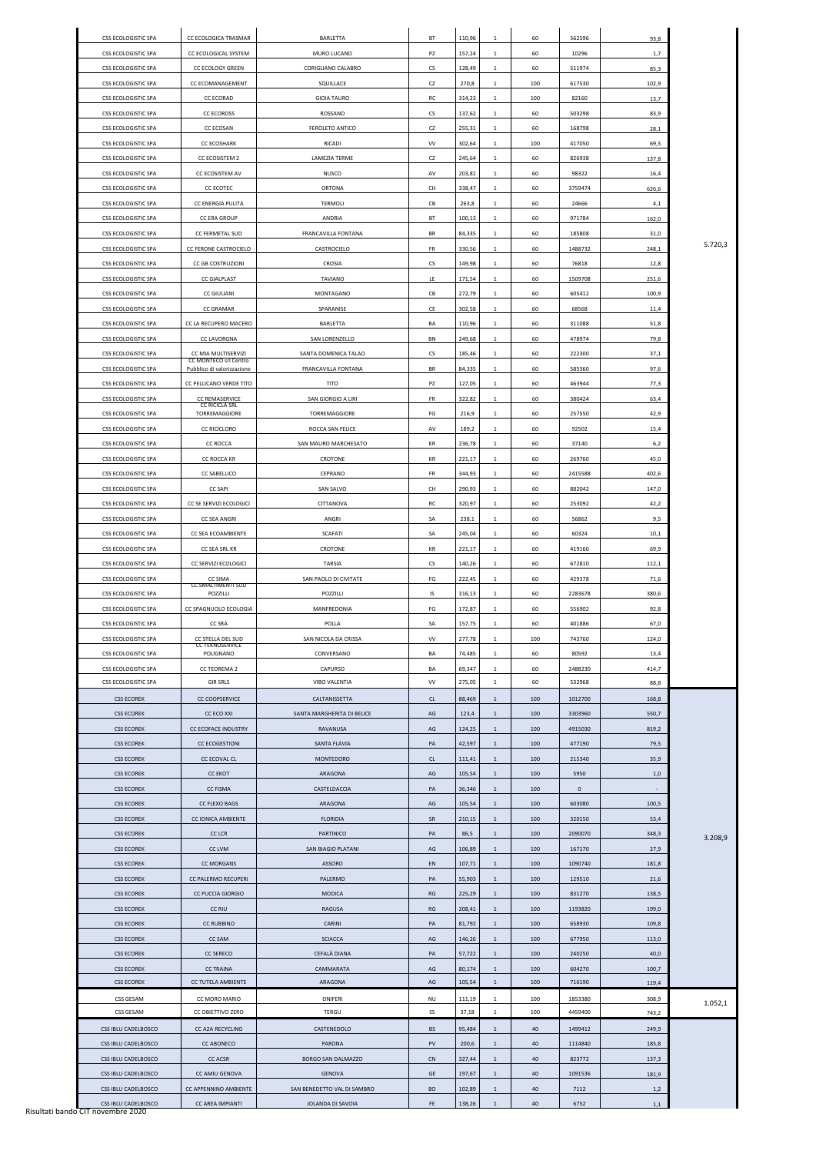| CSS ECOLOGISTIC SPA                        | CC ECOLOGICA TRASMAR                             | BARLETTA                                         | BT               | 110,96           | 1                            | 60       | 562596       | 93,8       |         |
|--------------------------------------------|--------------------------------------------------|--------------------------------------------------|------------------|------------------|------------------------------|----------|--------------|------------|---------|
| CSS ECOLOGISTIC SPA                        | CC ECOLOGICAL SYSTEM                             | MURO LUCANO                                      | PZ               | 157,24           | 1                            | 60       | 10296        | 1,7        |         |
| CSS ECOLOGISTIC SPA                        | <b>CC ECOLOGY GREEN</b>                          | CORIGLIANO CALABRO                               | CS               | 128,49           | 1                            | 60       | 511974       | 85,3       |         |
| CSS ECOLOGISTIC SPA                        | CC ECOMANAGEMENT                                 | SQUILLACE                                        | CZ               | 270,8            | 1                            | 100      | 617530       | 102,9      |         |
| CSS ECOLOGISTIC SPA                        | CC ECORAD                                        | <b>GIOIA TAURO</b>                               | RC               | 314,23           | 1                            | 100      | 82160        | 13,7       |         |
| <b>CSS ECOLOGISTIC SPA</b>                 | <b>CC ECOROSS</b>                                | ROSSANO                                          | <b>CS</b>        | 137,62           | 1                            | 60       | 503298       | 83,9       |         |
|                                            |                                                  |                                                  |                  |                  |                              |          |              |            |         |
| CSS ECOLOGISTIC SPA                        | <b>CC ECOSAN</b>                                 | FEROLETO ANTICO                                  | CZ               | 255,31           | 1                            | 60       | 168798       | 28,1       |         |
| CSS ECOLOGISTIC SPA                        | <b>CC ECOSHARK</b>                               | <b>RICADI</b>                                    | <b>VV</b>        | 302,64           | 1                            | 100      | 417050       | 69,5       |         |
| CSS ECOLOGISTIC SPA                        | CC ECOSISTEM 2                                   | LAMEZIA TERME                                    | CZ               | 245,64           | 1                            | 60       | 826938       | 137,8      |         |
| CSS ECOLOGISTIC SPA                        | CC ECOSISTEM AV                                  | <b>NUSCO</b>                                     | AV               | 203,81           | 1                            | 60       | 98322        | 16,4       |         |
| CSS ECOLOGISTIC SPA                        | CC ECOTEC                                        | ORTONA                                           | CH               | 338,47           | 1                            | 60       | 3759474      | 626,6      |         |
| CSS ECOLOGISTIC SPA                        | CC ENERGIA PULITA                                | <b>TERMOLI</b>                                   | CB               | 263,8            | 1                            | 60       | 24666        | 4,1        |         |
| CSS ECOLOGISTIC SPA                        | <b>CC ERA GROUP</b>                              | ANDRIA                                           | BT               | 100,13           | 1                            | 60       | 971784       | 162,0      |         |
| CSS ECOLOGISTIC SPA                        | CC FERMETAL SUD                                  | FRANCAVILLA FONTANA                              | BR               | 84,335           | 1                            | 60       | 185808       | 31,0       |         |
| CSS ECOLOGISTIC SPA                        | CC FERONE CASTROCIELO                            | CASTROCIELO                                      | FR               | 330,56           | 1                            | 60       | 1488732      | 248,1      | 5.720,3 |
| <b>CSS ECOLOGISTIC SPA</b>                 | <b>CC GB COSTRUZIONI</b>                         | <b>CROSIA</b>                                    | <b>CS</b>        | 149,98           | 1                            | 60       | 76818        | 12,8       |         |
| CSS ECOLOGISTIC SPA                        | <b>CC GIALPLAST</b>                              | <b>TAVIANO</b>                                   | LE.              | 171,54           | 1                            | 60       | 1509708      | 251,6      |         |
|                                            |                                                  |                                                  |                  |                  |                              |          |              |            |         |
| CSS ECOLOGISTIC SPA                        | <b>CC GIULIANI</b>                               | MONTAGANO                                        | СB               | 272,79           | 1                            | 60       | 605412       | 100,9      |         |
| CSS ECOLOGISTIC SPA                        | <b>CC GRAMAR</b>                                 | SPARANISE                                        | CE               | 302,58           | 1                            | 60       | 68568        | 11,4       |         |
| CSS ECOLOGISTIC SPA                        | CC LA RECUPERO MACERO                            | BARLETTA                                         | BA               | 110,96           | 1                            | 60       | 311088       | 51,8       |         |
| CSS ECOLOGISTIC SPA                        | <b>CC LAVORGNA</b>                               | SAN LORENZELLO                                   | BN               | 249,68           | 1                            | 60       | 478974       | 79,8       |         |
| CSS ECOLOGISTIC SPA                        | CC MIA MULTISERVIZI<br>CC MONTECO srl Centro     | SANTA DOMENICA TALAO                             | CS               | 185,46           | 1                            | 60       | 222300       | 37,1       |         |
| CSS ECOLOGISTIC SPA                        | Pubblico di valorizzazione                       | FRANCAVILLA FONTANA                              | BR               | 84,335           | 1                            | 60       | 585360       | 97,6       |         |
| CSS ECOLOGISTIC SPA                        | CC PELLICANO VERDE TITO                          | TITO                                             | PZ               | 127,05           | 1                            | 60       | 463944       | 77,3       |         |
| CSS ECOLOGISTIC SPA                        | CC REMASERVICE                                   | SAN GIORGIO A LIRI                               | FR               | 322,82           | 1                            | 60       | 380424       | 63,4       |         |
|                                            | <b>CC RICICLA SRL</b>                            |                                                  |                  |                  |                              |          |              |            |         |
| CSS ECOLOGISTIC SPA                        | TORREMAGGIORE                                    | TORREMAGGIORE                                    | FG               | 216,9            | 1                            | 60       | 257550       | 42,9       |         |
| CSS ECOLOGISTIC SPA                        | <b>CC RICICLORO</b>                              | ROCCA SAN FELICE                                 | AV               | 189,2            | 1                            | 60       | 92502        | 15,4       |         |
| CSS ECOLOGISTIC SPA                        | <b>CC ROCCA</b>                                  | SAN MAURO MARCHESATO                             | KR               | 236,78           | 1                            | 60       | 37140        | 6,2        |         |
| CSS ECOLOGISTIC SPA                        | CC ROCCA KR                                      | CROTONE                                          | KR               | 221,17           | 1                            | 60       | 269760       | 45,0       |         |
| CSS ECOLOGISTIC SPA                        | <b>CC SABELLICO</b>                              | CEPRANO                                          | FR               | 344,93           | 1                            | 60       | 2415588      | 402,6      |         |
| CSS ECOLOGISTIC SPA                        | <b>CC SAPI</b>                                   | <b>SAN SALVO</b>                                 | CH               | 290,93           | 1                            | 60       | 882042       | 147,0      |         |
| CSS ECOLOGISTIC SPA                        | CC SE SERVIZI ECOLOGICI                          | CITTANOVA                                        | RC               | 320,97           | $\mathbf{1}$                 | 60       | 253092       | 42,2       |         |
|                                            |                                                  |                                                  |                  |                  |                              |          |              |            |         |
| CSS ECOLOGISTIC SPA                        | CC SEA ANGRI                                     | ANGRI                                            | SA               | 238,1            | $\mathbf{1}$                 | 60       | 56862        | 9,5        |         |
| CSS ECOLOGISTIC SPA                        | CC SEA ECOAMBIENTE                               | <b>SCAFATI</b>                                   | SA               | 245,04           | 1                            | 60       | 60324        | 10,1       |         |
| CSS ECOLOGISTIC SPA                        | CC SEA SRL KR                                    | CROTONE                                          | KR               | 221,17           | 1                            | 60       | 419160       | 69,9       |         |
| CSS ECOLOGISTIC SPA                        | CC SERVIZI ECOLOGICI                             | <b>TARSIA</b>                                    | <b>CS</b>        | 140,26           | 1                            | 60       | 672810       | 112,1      |         |
|                                            |                                                  |                                                  |                  |                  |                              |          |              |            |         |
| CSS ECOLOGISTIC SPA                        | <b>CC SIMA</b>                                   | SAN PAOLO DI CIVITATE                            | FG               | 222,45           | 1                            | 60       | 429378       | 71,6       |         |
|                                            | <b>CC SMALTIMENTI SUD</b>                        |                                                  |                  |                  |                              |          |              |            |         |
| CSS ECOLOGISTIC SPA                        | POZZILLI                                         | POZZILLI                                         | IS               | 316,13           | 1                            | 60       | 2283678      | 380,6      |         |
| CSS ECOLOGISTIC SPA                        | CC SPAGNUOLO ECOLOGIA                            | MANFREDONIA                                      | FG               | 172,87           | $\mathbf{1}$                 | 60       | 556902       | 92,8       |         |
| CSS ECOLOGISTIC SPA                        | <b>CC SRA</b>                                    | POLLA                                            | SA               | 157,75           | 1                            | 60       | 401886       | 67,0       |         |
| CSS ECOLOGISTIC SPA                        | CC STELLA DEL SUD<br><b>CC TEKNOSERVICE</b>      | SAN NICOLA DA CRISSA                             | VV               | 277,78           | 1                            | 100      | 743760       | 124,0      |         |
| CSS ECOLOGISTIC SPA                        | POLIGNANO                                        | CONVERSANO                                       | BA               | 74,485           | 1                            | 60       | 80592        | 13,4       |         |
| CSS ECOLOGISTIC SPA                        | CC TEOREMA 2                                     | CAPURSO                                          | BA               | 69,347           | 1                            | 60       | 2488230      | 414,7      |         |
| CSS ECOLOGISTIC SPA                        | <b>GIR SRLS</b>                                  | <b>VIBO VALENTIA</b>                             | <b>VV</b>        | 275,05           | 1                            | 60       | 532968       | 88,8       |         |
|                                            |                                                  |                                                  |                  |                  |                              |          |              |            |         |
| <b>CSS ECOREK</b>                          | <b>CC COOPSERVICE</b>                            | CALTANISSETTA                                    | CL               | 88,469           | 1                            | 100      | 1012700      | 168,8      |         |
| <b>CSS ECOREK</b>                          | CC ECO XXI                                       | SANTA MARGHERITA DI BELICE                       | AG               | 123,4            | 1                            | 100      | 3303960      | 550,7      |         |
| <b>CSS ECOREK</b>                          | <b>CC ECOFACE INDUSTRY</b>                       | <b>RAVANUSA</b>                                  | AG               | 124,25           | 1                            | 100      | 4915030      | 819,2      |         |
| <b>CSS ECOREK</b>                          | <b>CC ECOGESTIONI</b>                            | <b>SANTA FLAVIA</b>                              | PA               | 42,597           | 1                            | 100      | 477190       | 79,5       |         |
| <b>CSS ECOREK</b>                          | <b>CC ECOVAL CL</b>                              | MONTEDORO                                        | CL               | 111,41           | 1                            | 100      | 215340       | 35,9       |         |
| <b>CSS ECOREK</b>                          | <b>CC EKOT</b>                                   | ARAGONA                                          | AG               | 105,54           | 1                            | 100      | 5950         | 1,0        |         |
| <b>CSS ECOREK</b>                          | <b>CC FISMA</b>                                  | CASTELDACCIA                                     | PA               | 36,346           | 1                            | 100      | $\mathsf 0$  | $\sim$     |         |
| <b>CSS ECOREK</b>                          | <b>CC FLEXO BAGS</b>                             | ARAGONA                                          | AG               | 105,54           | 1                            | 100      | 603080       | 100,5      |         |
| <b>CSS ECOREK</b>                          | CC IONICA AMBIENTE                               | <b>FLORIDIA</b>                                  | SR               | 210,15           | 1                            | 100      | 320150       | 53,4       |         |
|                                            |                                                  |                                                  |                  |                  |                              |          |              |            |         |
| <b>CSS ECOREK</b>                          | <b>CC LCR</b>                                    | <b>PARTINICO</b>                                 | PA               | 86,5             | $\mathbf{1}$                 | 100      | 2090070      | 348,3      | 3.208,9 |
| <b>CSS ECOREK</b>                          | <b>CC LVM</b>                                    | SAN BIAGIO PLATANI                               | AG               | 106,89           | 1                            | 100      | 167170       | 27,9       |         |
| <b>CSS ECOREK</b>                          | <b>CC MORGANS</b>                                | <b>ASSORO</b>                                    | EN               | 107,71           | 1                            | 100      | 1090740      | 181,8      |         |
| <b>CSS ECOREK</b>                          | CC PALERMO RECUPERI                              | PALERMO                                          | PA               | 55,903           | 1                            | 100      | 129510       | 21,6       |         |
| <b>CSS ECOREK</b>                          | CC PUCCIA GIORGIO                                | <b>MODICA</b>                                    | RG               | 225,29           | $\mathbf{1}$                 | 100      | 831270       | 138,5      |         |
| <b>CSS ECOREK</b>                          | <b>CC RIU</b>                                    | RAGUSA                                           | RG               | 208,41           | 1                            | 100      | 1193820      | 199,0      |         |
| <b>CSS ECOREK</b>                          | <b>CC RUBBINO</b>                                | CARINI                                           | PA               | 81,792           | 1                            | 100      | 658930       | 109,8      |         |
| <b>CSS ECOREK</b>                          | <b>CC SAM</b>                                    | <b>SCIACCA</b>                                   | AG               | 146,26           | 1                            | 100      | 677950       | 113,0      |         |
|                                            | <b>CC SERECO</b>                                 |                                                  |                  |                  |                              |          |              |            |         |
| <b>CSS ECOREK</b>                          |                                                  | CEFALÀ DIANA                                     | PA               | 57,722           | 1                            | 100      | 240250       | 40,0       |         |
| <b>CSS ECOREK</b>                          | <b>CC TRAINA</b>                                 | CAMMARATA                                        | AG               | 80,174           | $\mathbf{1}$                 | 100      | 604270       | 100,7      |         |
| <b>CSS ECOREK</b>                          | CC TUTELA AMBIENTE                               | ARAGONA                                          | AG               | 105,54           | $\mathbf{1}$                 | 100      | 716190       | 119,4      |         |
| CSS GESAM                                  | CC MORO MARIO                                    | ONIFERI                                          | <b>NU</b>        | 111,19           | 1                            | 100      | 1853380      | 308,9      | 1.052,1 |
| <b>CSS GESAM</b>                           | CC OBIETTIVO ZERO                                | TERGU                                            | SS               | 37,18            | $\mathbf{1}$                 | 100      | 4459400      | 743,2      |         |
| CSS IBLU CADELBOSCO                        | CC A2A RECYCLING                                 | CASTENEDOLO                                      | <b>BS</b>        | 95,484           | 1                            | 40       | 1499412      | 249,9      |         |
| CSS IBLU CADELBOSCO                        | <b>CC ABONECO</b>                                | PARONA                                           | PV               | 200,6            | 1                            | 40       | 1114840      | 185,8      |         |
| CSS IBLU CADELBOSCO                        | <b>CC ACSR</b>                                   | <b>BORGO SAN DALMAZZO</b>                        | <b>CN</b>        | 327,44           | 1                            | 40       | 823772       | 137,3      |         |
|                                            |                                                  |                                                  |                  |                  |                              |          |              |            |         |
| CSS IBLU CADELBOSCO                        | CC AMIU GENOVA                                   | <b>GENOVA</b>                                    | GE               | 197,67           | 1                            | 40       | 1091536      | 181,9      |         |
| CSS IBLU CADELBOSCO<br>CSS IBLU CADELBOSCO | CC APPENNINO AMBIENTE<br><b>CC AREA IMPIANTI</b> | SAN BENEDETTO VAL DI SAMBRO<br>JOLANDA DI SAVOIA | <b>BO</b><br>FE. | 102,89<br>138,26 | $\mathbf{1}$<br>$\mathbf{1}$ | 40<br>40 | 7112<br>6752 | 1,2<br>1,1 |         |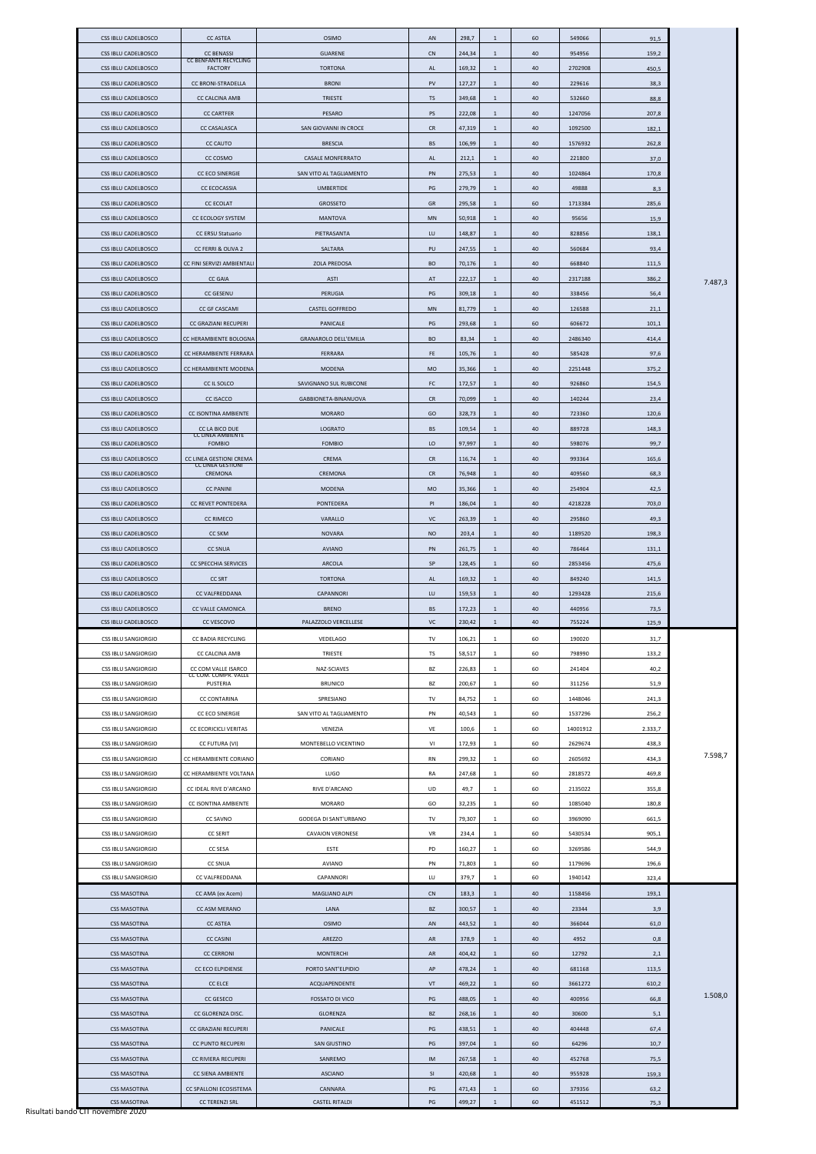| <b>CSS IBLU CADELBOSCO</b>                 | <b>CC ASTEA</b>                                   | <b>OSIMO</b>                     | AN         | 298,7            | 1            | 60       | 549066           | 91,5         |         |
|--------------------------------------------|---------------------------------------------------|----------------------------------|------------|------------------|--------------|----------|------------------|--------------|---------|
| <b>CSS IBLU CADELBOSCO</b>                 | <b>CC BENASSI</b><br><b>CC BENFANTE RECYCLING</b> | <b>GUARENE</b>                   | <b>CN</b>  | 244,34           | $\mathbf{1}$ | 40       | 954956           | 159,2        |         |
| <b>CSS IBLU CADELBOSCO</b>                 | <b>FACTORY</b>                                    | <b>TORTONA</b>                   | AL         | 169,32           | 1            | 40       | 2702908          | 450,5        |         |
| <b>CSS IBLU CADELBOSCO</b>                 | <b>CC BRONI-STRADELLA</b>                         | <b>BRONI</b>                     | PV         | 127,27           | 1            | 40       | 229616           | 38,3         |         |
| <b>CSS IBLU CADELBOSCO</b>                 | CC CALCINA AMB                                    | <b>TRIESTE</b>                   | TS         | 349,68           | 1            | 40       | 532660           | 88,8         |         |
| CSS IBLU CADELBOSCO                        | <b>CC CARTFER</b>                                 | <b>PESARO</b>                    | PS         | 222,08           | 1            | 40       | 1247056          | 207,8        |         |
| <b>CSS IBLU CADELBOSCO</b>                 | <b>CC CASALASCA</b>                               | SAN GIOVANNI IN CROCE            | CR         | 47,319           | 1            | 40       | 1092500          | 182,1        |         |
|                                            |                                                   |                                  |            |                  |              |          |                  |              |         |
| <b>CSS IBLU CADELBOSCO</b>                 | <b>CC CAUTO</b>                                   | <b>BRESCIA</b>                   | <b>BS</b>  | 106,99           | $\mathbf{1}$ | 40       | 1576932          | 262,8        |         |
| <b>CSS IBLU CADELBOSCO</b>                 | CC COSMO                                          | <b>CASALE MONFERRATO</b>         | AL         | 212,1            | $\mathbf{1}$ | 40       | 221800           | 37,0         |         |
| <b>CSS IBLU CADELBOSCO</b>                 | <b>CC ECO SINERGIE</b>                            | SAN VITO AL TAGLIAMENTO          | PN         | 275,53           | 1            | 40       | 1024864          | 170,8        |         |
| CSS IBLU CADELBOSCO                        | <b>CC ECOCASSIA</b>                               | <b>UMBERTIDE</b>                 | PG         | 279,79           | 1            | 40       | 49888            | 8,3          |         |
| <b>CSS IBLU CADELBOSCO</b>                 | <b>CC ECOLAT</b>                                  | <b>GROSSETO</b>                  | GR         | 295,58           | 1            | 60       | 1713384          | 285,6        |         |
| <b>CSS IBLU CADELBOSCO</b>                 | <b>CC ECOLOGY SYSTEM</b>                          | <b>MANTOVA</b>                   | <b>MN</b>  | 50,918           | 1            | 40       | 95656            | 15,9         |         |
| <b>CSS IBLU CADELBOSCO</b>                 | CC ERSU Statuario                                 | PIETRASANTA                      | LU         | 148,87           | $\mathbf{1}$ | 40       | 828856           | 138,1        |         |
| <b>CSS IBLU CADELBOSCO</b>                 | CC FERRI & OLIVA 2                                | SALTARA                          | PU         | 247,55           | $\mathbf{1}$ | 40       | 560684           | 93,4         |         |
| <b>CSS IBLU CADELBOSCO</b>                 | CC FINI SERVIZI AMBIENTALI                        | <b>ZOLA PREDOSA</b>              | <b>BO</b>  | 70,176           | 1            | 40       | 668840           | 111,5        |         |
|                                            |                                                   |                                  |            |                  |              |          |                  |              |         |
| <b>CSS IBLU CADELBOSCO</b>                 | <b>CC GAIA</b>                                    | <b>ASTI</b>                      | AT         | 222,17           | $\mathbf{1}$ | 40       | 2317188          | 386,2        | 7.487,3 |
| CSS IBLU CADELBOSCO                        | <b>CC GESENU</b>                                  | PERUGIA                          | PG         | 309,18           | 1            | 40       | 338456           | 56,4         |         |
| <b>CSS IBLU CADELBOSCO</b>                 | CC GF CASCAMI                                     | <b>CASTEL GOFFREDO</b>           | <b>MN</b>  | 81,779           | 1            | 40       | 126588           | 21,1         |         |
| CSS IBLU CADELBOSCO                        | CC GRAZIANI RECUPERI                              | PANICALE                         | PG         | 293,68           | $\mathbf{1}$ | 60       | 606672           | 101,1        |         |
| <b>CSS IBLU CADELBOSCO</b>                 | CC HERAMBIENTE BOLOGNA                            | <b>GRANAROLO DELL'EMILIA</b>     | <b>BO</b>  | 83,34            | $\mathbf{1}$ | 40       | 2486340          | 414,4        |         |
| <b>CSS IBLU CADELBOSCO</b>                 | CC HERAMBIENTE FERRARA                            | FERRARA                          | <b>FE</b>  | 105,76           | 1            | 40       | 585428           | 97,6         |         |
| <b>CSS IBLU CADELBOSCO</b>                 | CC HERAMBIENTE MODENA                             | <b>MODENA</b>                    | <b>MO</b>  | 35,366           | 1            | 40       | 2251448          | 375,2        |         |
| <b>CSS IBLU CADELBOSCO</b>                 | CC IL SOLCO                                       | SAVIGNANO SUL RUBICONE           | FC         | 172,57           | 1            | 40       | 926860           | 154,5        |         |
|                                            |                                                   |                                  |            |                  |              |          |                  |              |         |
| CSS IBLU CADELBOSCO                        | <b>CC ISACCO</b>                                  | GABBIONETA-BINANUOVA             | <b>CR</b>  | 70,099           | 1            | 40       | 140244           | 23,4         |         |
| <b>CSS IBLU CADELBOSCO</b>                 | CC ISONTINA AMBIENTE                              | <b>MORARO</b>                    | GO         | 328,73           | 1            | 40       | 723360           | 120,6        |         |
| CSS IBLU CADELBOSCO                        | CC LA BICO DUE<br><b>CC LINEA AMBIENTE</b>        | <b>LOGRATO</b>                   | <b>BS</b>  | 109,54           | 1            | 40       | 889728           | 148,3        |         |
| <b>CSS IBLU CADELBOSCO</b>                 | <b>FOMBIO</b>                                     | <b>FOMBIO</b>                    | LO         | 97,997           | 1            | 40       | 598076           | 99,7         |         |
| CSS IBLU CADELBOSCO                        | CC LINEA GESTIONI CREMA                           | CREMA                            | <b>CR</b>  | 116,74           | $\mathbf{1}$ | 40       | 993364           | 165,6        |         |
| CSS IBLU CADELBOSCO                        | <b>CC LINEA GESTIONI</b><br>CREMONA               | CREMONA                          | <b>CR</b>  | 76,948           | 1            | 40       | 409560           | 68,3         |         |
| CSS IBLU CADELBOSCO                        | <b>CC PANINI</b>                                  | <b>MODENA</b>                    | <b>MO</b>  | 35,366           | 1            | 40       | 254904           | 42,5         |         |
| CSS IBLU CADELBOSCO                        | CC REVET PONTEDERA                                | PONTEDERA                        | PI         | 186,04           | 1            | 40       | 4218228          | 703,0        |         |
| CSS IBLU CADELBOSCO                        | <b>CC RIMECO</b>                                  |                                  |            |                  |              |          |                  |              |         |
|                                            |                                                   | VARALLO                          | VC         | 263,39           | $\mathbf{1}$ | 40       | 295860           | 49,3         |         |
| CSS IBLU CADELBOSCO                        | <b>CC SKM</b>                                     | <b>NOVARA</b>                    | <b>NO</b>  | 203,4            | 1            | 40       | 1189520          | 198,3        |         |
| CSS IBLU CADELBOSCO                        | <b>CC SNUA</b>                                    | <b>AVIANO</b>                    | PN         | 261,75           | 1            | 40       | 786464           | 131,1        |         |
| <b>CSS IBLU CADELBOSCO</b>                 | CC SPECCHIA SERVICES                              | <b>ARCOLA</b>                    | SP         | 128,45           | 1            | 60       | 2853456          | 475,6        |         |
| CSS IBLU CADELBOSCO                        | <b>CC SRT</b>                                     | <b>TORTONA</b>                   | AL         | 169,32           | 1            | 40       | 849240           | 141,5        |         |
| CSS IBLU CADELBOSCO                        | CC VALFREDDANA                                    | CAPANNORI                        | LU         | 159,53           | 1            | 40       | 1293428          | 215,6        |         |
|                                            |                                                   |                                  |            |                  |              |          |                  |              |         |
| CSS IBLU CADELBOSCO                        | CC VALLE CAMONICA                                 | <b>BRENO</b>                     | <b>BS</b>  | 172,23           | 1            | 40       | 440956           | 73,5         |         |
| <b>CSS IBLU CADELBOSCO</b>                 | CC VESCOVO                                        | PALAZZOLO VERCELLESE             | VC         | 230,42           | 1            | 40       | 755224           | 125,9        |         |
|                                            |                                                   |                                  |            |                  |              |          |                  |              |         |
| CSS IBLU SANGIORGIO                        | CC BADIA RECYCLING                                | VEDELAGO                         | TV         | 106,21           | 1            | 60       | 190020           | 31,7         |         |
| CSS IBLU SANGIORGIO                        | CC CALCINA AMB                                    | TRIESTE                          | TS         | 58,517           | 1            | 60       | 798990           | 133,2        |         |
| <b>CSS IBLU SANGIORGIO</b>                 | CC COM VALLE ISARCO<br>CC COM. COMPR. VALLE       | NAZ-SCIAVES                      | BZ         | 226,83           | 1            | 60       | 241404           | 40,2         |         |
| CSS IBLU SANGIORGIO                        | PUSTERIA                                          | <b>BRUNICO</b>                   | BZ         | 200,67           | 1            | 60       | 311256           | 51,9         |         |
| <b>CSS IBLU SANGIORGIO</b>                 | <b>CC CONTARINA</b>                               | SPRESIANO                        | TV         | 84,752           | 1            | 60       | 1448046          | 241,3        |         |
| CSS IBLU SANGIORGIO                        | CC ECO SINERGIE                                   | SAN VITO AL TAGLIAMENTO          | PN         | 40,543           | 1            | 60       | 1537296          | 256,2        |         |
| <b>CSS IBLU SANGIORGIO</b>                 | CC ECORICICLI VERITAS                             | VENEZIA                          | VE         | 100,6            | 1            | 60       | 14001912         | 2.333,7      |         |
| <b>CSS IBLU SANGIORGIO</b>                 | CC FUTURA (VI)                                    | MONTEBELLO VICENTINO             | VI         | 172,93           | 1            | 60       | 2629674          | 438,3        |         |
|                                            |                                                   |                                  |            |                  |              |          |                  |              | 7.598,7 |
| CSS IBLU SANGIORGIO                        | CC HERAMBIENTE CORIANO<br>CC HERAMBIENTE VOLTANA  | CORIANO                          | RN         | 299,32           | 1<br>1       | 60       | 2605692          | 434,3        |         |
| <b>CSS IBLU SANGIORGIO</b>                 |                                                   | <b>LUGO</b>                      | RA         | 247,68           |              | 60       | 2818572          | 469,8        |         |
| <b>CSS IBLU SANGIORGIO</b>                 | CC IDEAL RIVE D'ARCANO                            | RIVE D'ARCANO                    | UD         | 49,7             | 1            | 60       | 2135022          | 355,8        |         |
| CSS IBLU SANGIORGIO                        | CC ISONTINA AMBIENTE                              | <b>MORARO</b>                    | GO         | 32,235           | 1            | 60       | 1085040          | 180,8        |         |
| <b>CSS IBLU SANGIORGIO</b>                 | CC SAVNO                                          | GODEGA DI SANT'URBANO            | TV         | 79,307           | 1            | 60       | 3969090          | 661,5        |         |
| CSS IBLU SANGIORGIO                        | <b>CC SERIT</b>                                   | <b>CAVAION VERONESE</b>          | VR         | 234,4            | 1            | 60       | 5430534          | 905,1        |         |
| <b>CSS IBLU SANGIORGIO</b>                 | CC SESA                                           | ESTE                             | PD         | 160,27           | 1            | 60       | 3269586          | 544,9        |         |
| CSS IBLU SANGIORGIO                        | <b>CC SNUA</b>                                    | <b>AVIANO</b>                    | PN         | 71,803           | 1            | 60       | 1179696          | 196,6        |         |
| <b>CSS IBLU SANGIORGIO</b>                 | CC VALFREDDANA                                    | CAPANNORI                        | LU         | 379,7            | 1            | 60       | 1940142          | 323,4        |         |
| <b>CSS MASOTINA</b>                        | CC AMA (ex Acem)                                  | MAGLIANO ALPI                    | ${\sf CN}$ | 183,3            | $\mathbf{1}$ | 40       | 1158456          | 193,1        |         |
| <b>CSS MASOTINA</b>                        | CC ASM MERANO                                     | LANA                             | <b>BZ</b>  | 300,57           | 1            | 40       | 23344            | 3,9          |         |
|                                            |                                                   |                                  |            |                  |              |          |                  |              |         |
| <b>CSS MASOTINA</b>                        | <b>CC ASTEA</b>                                   | <b>OSIMO</b>                     | AN         | 443,52           | 1            | 40       | 366044           | 61,0         |         |
| <b>CSS MASOTINA</b>                        | <b>CC CASINI</b>                                  | AREZZO                           | AR         | 378,9            | 1            | 40       | 4952             | 0,8          |         |
| <b>CSS MASOTINA</b>                        | <b>CC CERRONI</b>                                 | <b>MONTERCHI</b>                 | AR         | 404,42           | 1            | 60       | 12792            | 2,1          |         |
| <b>CSS MASOTINA</b>                        | CC ECO ELPIDIENSE                                 | PORTO SANT'ELPIDIO               | AP         | 478,24           | 1            | 40       | 681168           | 113,5        |         |
| <b>CSS MASOTINA</b>                        | <b>CC ELCE</b>                                    | ACQUAPENDENTE                    | VT         | 469,22           | $\mathbf{1}$ | 60       | 3661272          | 610,2        |         |
| <b>CSS MASOTINA</b>                        | <b>CC GESECO</b>                                  | <b>FOSSATO DI VICO</b>           | PG         | 488,05           | 1            | 40       | 400956           | 66,8         | 1.508,0 |
| <b>CSS MASOTINA</b>                        | CC GLORENZA DISC.                                 | GLORENZA                         | <b>BZ</b>  | 268,16           | 1            | 40       | 30600            | 5,1          |         |
| <b>CSS MASOTINA</b>                        | CC GRAZIANI RECUPERI                              | PANICALE                         | PG         | 438,51           | $\mathbf{1}$ | 40       | 404448           | 67,4         |         |
| <b>CSS MASOTINA</b>                        | CC PUNTO RECUPERI                                 | <b>SAN GIUSTINO</b>              | PG         | 397,04           | 1            | 60       | 64296            | 10,7         |         |
|                                            |                                                   |                                  |            |                  |              |          |                  |              |         |
| <b>CSS MASOTINA</b>                        | CC RIVIERA RECUPERI                               | SANREMO                          | IM         | 267,58           | 1            | 40       | 452768           | 75,5         |         |
| <b>CSS MASOTINA</b>                        | CC SIENA AMBIENTE                                 | <b>ASCIANO</b>                   | SI         | 420,68           | 1            | 40       | 955928           | 159,3        |         |
| <b>CSS MASOTINA</b><br><b>CSS MASOTINA</b> | CC SPALLONI ECOSISTEMA<br><b>CC TERENZI SRL</b>   | CANNARA<br><b>CASTEL RITALDI</b> | PG<br>PG   | 471,43<br>499,27 | 1<br>1       | 60<br>60 | 379356<br>451512 | 63,2<br>75,3 |         |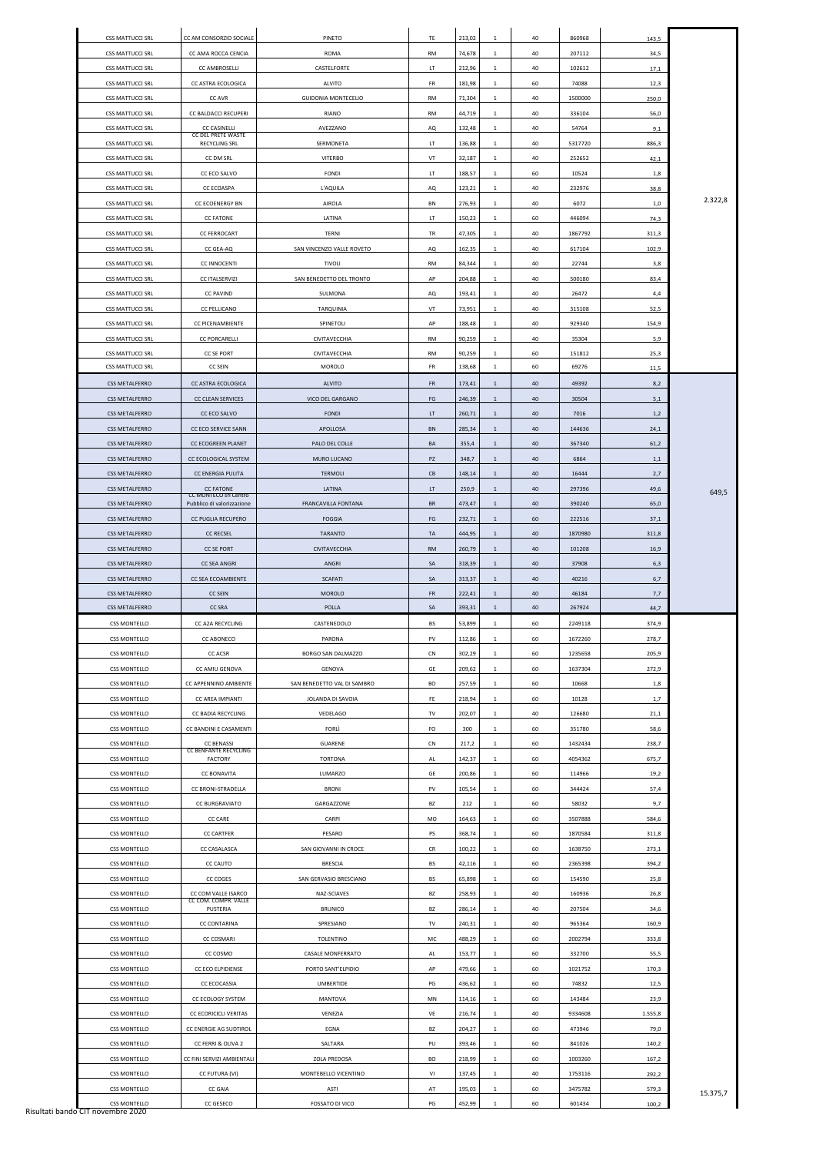|                         | CC AM CONSORZIO SOCIALE                          | <b>PINETO</b>               |           |        |              | 40 | 860968  |         |          |
|-------------------------|--------------------------------------------------|-----------------------------|-----------|--------|--------------|----|---------|---------|----------|
| <b>CSS MATTUCCI SRL</b> |                                                  |                             | TE        | 213,02 | 1            |    |         | 143,5   |          |
| <b>CSS MATTUCCI SRL</b> | CC AMA ROCCA CENCIA                              | ROMA                        | RM        | 74,678 | 1            | 40 | 207112  | 34,5    |          |
| <b>CSS MATTUCCI SRL</b> | <b>CC AMBROSELLI</b>                             | CASTELFORTE                 | LT.       | 212,96 | 1            | 40 | 102612  | 17,1    |          |
| <b>CSS MATTUCCI SRL</b> | CC ASTRA ECOLOGICA                               | <b>ALVITO</b>               | FR        | 181,98 | 1            | 60 | 74088   | 12,3    |          |
| CSS MATTUCCI SRL        | CC AVR                                           | <b>GUIDONIA MONTECELIO</b>  | <b>RM</b> | 71,304 | 1            | 40 | 1500000 | 250,0   |          |
| <b>CSS MATTUCCI SRL</b> | CC BALDACCI RECUPERI                             | RIANO                       | <b>RM</b> | 44,719 | 1            | 40 | 336104  | 56,0    |          |
| <b>CSS MATTUCCI SRL</b> | <b>CC CASINELLI</b><br>CC DEL PRETE WASTE        | AVEZZANO                    | AQ        | 132,48 | 1            | 40 | 54764   | 9,1     |          |
| <b>CSS MATTUCCI SRL</b> | <b>RECYCLING SRL</b>                             | SERMONETA                   | LT.       | 136,88 | 1            | 40 | 5317720 | 886,3   |          |
| <b>CSS MATTUCCI SRL</b> | CC DM SRL                                        | <b>VITERBO</b>              | VT        | 32,187 | 1            | 40 | 252652  | 42,1    |          |
| CSS MATTUCCI SRL        | CC ECO SALVO                                     | <b>FONDI</b>                | LT.       | 188,57 | 1            | 60 | 10524   | 1,8     |          |
| <b>CSS MATTUCCI SRL</b> | <b>CC ECOASPA</b>                                | L'AQUILA                    | AQ        | 123,21 | 1            | 40 | 232976  | 38,8    |          |
| <b>CSS MATTUCCI SRL</b> | <b>CC ECOENERGY BN</b>                           | AIROLA                      | BN        | 276,93 | 1            | 40 | 6072    | 1,0     | 2.322,8  |
|                         |                                                  |                             |           |        |              |    |         |         |          |
| <b>CSS MATTUCCI SRL</b> | <b>CC FATONE</b>                                 | LATINA                      | LT.       | 150,23 | 1            | 60 | 446094  | 74,3    |          |
| <b>CSS MATTUCCI SRL</b> | <b>CC FERROCART</b>                              | TERNI                       | TR        | 47,305 | 1            | 40 | 1867792 | 311,3   |          |
| <b>CSS MATTUCCI SRL</b> | CC GEA-AQ                                        | SAN VINCENZO VALLE ROVETO   | AQ        | 162,35 | 1            | 40 | 617104  | 102,9   |          |
| <b>CSS MATTUCCI SRL</b> | <b>CC INNOCENTI</b>                              | <b>TIVOLI</b>               | <b>RM</b> | 84,344 | 1            | 40 | 22744   | 3,8     |          |
| CSS MATTUCCI SRL        | <b>CC ITALSERVIZI</b>                            | SAN BENEDETTO DEL TRONTO    | AP        | 204,88 | 1            | 40 | 500180  | 83,4    |          |
| <b>CSS MATTUCCI SRL</b> | <b>CC PAVIND</b>                                 | SULMONA                     | AQ        | 193,41 | 1            | 40 | 26472   | 4,4     |          |
| <b>CSS MATTUCCI SRL</b> | <b>CC PELLICANO</b>                              | TARQUINIA                   | VT        | 73,951 | 1            | 40 | 315108  | 52,5    |          |
| <b>CSS MATTUCCI SRL</b> | CC PICENAMBIENTE                                 | SPINETOLI                   | AP        | 188,48 | 1            | 40 | 929340  | 154,9   |          |
| <b>CSS MATTUCCI SRL</b> | <b>CC PORCARELLI</b>                             | CIVITAVECCHIA               | RM        | 90,259 | 1            | 40 | 35304   | 5,9     |          |
| <b>CSS MATTUCCI SRL</b> | <b>CC SE PORT</b>                                | CIVITAVECCHIA               | <b>RM</b> | 90,259 | 1            | 60 | 151812  | 25,3    |          |
| <b>CSS MATTUCCI SRL</b> | <b>CC SEIN</b>                                   | <b>MOROLO</b>               | FR        | 138,68 | 1            | 60 | 69276   | 11,5    |          |
| <b>CSS METALFERRO</b>   | CC ASTRA ECOLOGICA                               | <b>ALVITO</b>               | <b>FR</b> | 173,41 | 1            | 40 | 49392   | 8,2     |          |
| <b>CSS METALFERRO</b>   | <b>CC CLEAN SERVICES</b>                         | VICO DEL GARGANO            | FG        | 246,39 | 1            | 40 | 30504   | 5,1     |          |
|                         |                                                  |                             |           |        |              |    |         |         |          |
| <b>CSS METALFERRO</b>   | CC ECO SALVO                                     | <b>FONDI</b>                | LT.       | 260,71 | 1            | 40 | 7016    | 1,2     |          |
| <b>CSS METALFERRO</b>   | CC ECO SERVICE SANN                              | APOLLOSA                    | BN        | 285,34 | 1            | 40 | 144636  | 24,1    |          |
| <b>CSS METALFERRO</b>   | CC ECOGREEN PLANET                               | PALO DEL COLLE              | BA        | 355,4  | 1            | 40 | 367340  | 61,2    |          |
| CSS METALFERRO          | CC ECOLOGICAL SYSTEM                             | MURO LUCANO                 | PZ        | 348,7  | $\mathbf{1}$ | 40 | 6864    | 1,1     |          |
| <b>CSS METALFERRO</b>   | CC ENERGIA PULITA                                | <b>TERMOLI</b>              | CB        | 148,14 | 1            | 40 | 16444   | 2,7     |          |
| <b>CSS METALFERRO</b>   | <b>CC FATONE</b><br><b>CC MONTECO srl Centro</b> | LATINA                      | LT.       | 250,9  | $\mathbf{1}$ | 40 | 297396  | 49,6    | 649,5    |
| <b>CSS METALFERRO</b>   | Pubblico di valorizzazione                       | FRANCAVILLA FONTANA         | BR        | 473,47 | $\mathbf{1}$ | 40 | 390240  | 65,0    |          |
| <b>CSS METALFERRO</b>   | CC PUGLIA RECUPERO                               | <b>FOGGIA</b>               | FG        | 232,71 | 1            | 60 | 222516  | 37,1    |          |
| <b>CSS METALFERRO</b>   | <b>CC RECSEL</b>                                 | TARANTO                     | TA        | 444,95 | $\mathbf{1}$ | 40 | 1870980 | 311,8   |          |
| <b>CSS METALFERRO</b>   | <b>CC SE PORT</b>                                | <b>CIVITAVECCHIA</b>        | <b>RM</b> | 260,79 | $\mathbf{1}$ | 40 | 101208  | 16,9    |          |
|                         |                                                  |                             |           |        |              |    |         |         |          |
| <b>CSS METALFERRO</b>   | <b>CC SEA ANGRI</b>                              | ANGRI                       | SA        | 318,39 | $\mathbf{1}$ | 40 | 37908   | 6,3     |          |
| <b>CSS METALFERRO</b>   | CC SEA ECOAMBIENTE                               |                             |           |        | 1            |    | 40216   |         |          |
|                         |                                                  | SCAFATI                     | SA        | 313,37 |              | 40 |         | 6,7     |          |
| <b>CSS METALFERRO</b>   | <b>CC SEIN</b>                                   | <b>MOROLO</b>               | <b>FR</b> | 222,41 | 1            | 40 | 46184   | 7,7     |          |
| <b>CSS METALFERRO</b>   | <b>CC SRA</b>                                    | POLLA                       | SA        | 393,31 | 1            | 40 | 267924  | 44,7    |          |
| <b>CSS MONTELLO</b>     | CC A2A RECYCLING                                 | CASTENEDOLO                 | BS        | 53,899 | 1            | 60 | 2249118 | 374,9   |          |
| <b>CSS MONTELLO</b>     | CC ABONECO                                       | PARONA                      | PV        | 112,86 | 1            | 60 | 1672260 | 278,7   |          |
| <b>CSS MONTELLO</b>     | <b>CC ACSR</b>                                   | BORGO SAN DALMAZZO          | CN        | 302,29 | 1            | 60 | 1235658 | 205,9   |          |
| <b>CSS MONTELLO</b>     | CC AMIU GENOVA                                   | GENOVA                      | GE        | 209,62 | 1            | 60 | 1637304 | 272,9   |          |
| <b>CSS MONTELLO</b>     | CC APPENNINO AMBIENTE                            | SAN BENEDETTO VAL DI SAMBRO | BO        | 257,59 | $\mathbf{1}$ | 60 | 10668   | 1,8     |          |
| <b>CSS MONTELLO</b>     | CC AREA IMPIANTI                                 | JOLANDA DI SAVOIA           | FE.       | 218,94 | 1            | 60 | 10128   | 1,7     |          |
| <b>CSS MONTELLO</b>     | CC BADIA RECYCLING                               | VEDELAGO                    | TV        | 202,07 | 1            | 40 | 126680  | 21,1    |          |
| <b>CSS MONTELLO</b>     | CC BANDINI E CASAMENTI                           | <b>FORLI</b>                | FO        | 300    | 1            | 60 | 351780  | 58,6    |          |
| <b>CSS MONTELLO</b>     | <b>CC BENASSI</b>                                | GUARENE                     | CN        | 217,2  | 1            | 60 | 1432434 | 238,7   |          |
| <b>CSS MONTELLO</b>     | <b>CC BENFANTE RECYCLING</b><br><b>FACTORY</b>   | <b>TORTONA</b>              | AL        | 142,37 | 1            | 60 | 4054362 | 675,7   |          |
| <b>CSS MONTELLO</b>     | <b>CC BONAVITA</b>                               | LUMARZO                     | GE        | 200,86 | 1            | 60 | 114966  | 19,2    |          |
| <b>CSS MONTELLO</b>     | CC BRONI-STRADELLA                               | <b>BRONI</b>                | PV        | 105,54 | 1            | 60 | 344424  | 57,4    |          |
| <b>CSS MONTELLO</b>     | CC BURGRAVIATO                                   | GARGAZZONE                  | BZ        | 212    | 1            | 60 | 58032   | 9,7     |          |
|                         |                                                  |                             |           |        |              |    |         |         |          |
| <b>CSS MONTELLO</b>     | <b>CC CARE</b>                                   | CARPI                       | MO        | 164,63 | 1            | 60 | 3507888 | 584,6   |          |
| <b>CSS MONTELLO</b>     | <b>CC CARTFER</b>                                | PESARO                      | PS        | 368,74 | 1            | 60 | 1870584 | 311,8   |          |
| <b>CSS MONTELLO</b>     | CC CASALASCA                                     | SAN GIOVANNI IN CROCE       | CR        | 100,22 | 1            | 60 | 1638750 | 273,1   |          |
| <b>CSS MONTELLO</b>     | <b>CC CAUTO</b>                                  | <b>BRESCIA</b>              | BS        | 42,116 | 1            | 60 | 2365398 | 394,2   |          |
| <b>CSS MONTELLO</b>     | CC COGES                                         | SAN GERVASIO BRESCIANO      | BS        | 65,898 | 1            | 60 | 154590  | 25,8    |          |
| <b>CSS MONTELLO</b>     | CC COM VALLE ISARCO<br>CC COM. COMPR. VALLE      | NAZ-SCIAVES                 | BZ        | 258,93 | 1            | 40 | 160936  | 26,8    |          |
| <b>CSS MONTELLO</b>     | <b>PUSTERIA</b>                                  | <b>BRUNICO</b>              | BZ        | 286,14 | 1            | 40 | 207504  | 34,6    |          |
| <b>CSS MONTELLO</b>     | CC CONTARINA                                     | SPRESIANO                   | TV        | 240,31 | 1            | 40 | 965364  | 160,9   |          |
| <b>CSS MONTELLO</b>     | <b>CC COSMARI</b>                                | <b>TOLENTINO</b>            | MC        | 488,29 | $\mathbf{1}$ | 60 | 2002794 | 333,8   |          |
| <b>CSS MONTELLO</b>     | CC COSMO                                         | <b>CASALE MONFERRATO</b>    | AL        | 153,77 | $\mathbf{1}$ | 60 | 332700  | 55,5    |          |
| <b>CSS MONTELLO</b>     | CC ECO ELPIDIENSE                                | PORTO SANT'ELPIDIO          | AP        | 479,66 | $\mathbf{1}$ | 60 | 1021752 | 170,3   |          |
| <b>CSS MONTELLO</b>     | CC ECOCASSIA                                     | <b>UMBERTIDE</b>            | PG        | 436,62 | 1            | 60 | 74832   | 12,5    |          |
| <b>CSS MONTELLO</b>     | CC ECOLOGY SYSTEM                                | <b>MANTOVA</b>              | MN        | 114,16 | 1            | 60 | 143484  | 23,9    |          |
|                         |                                                  |                             |           |        |              |    |         |         |          |
| <b>CSS MONTELLO</b>     | CC ECORICICLI VERITAS                            | VENEZIA                     | VE        | 216,74 | $\mathbf{1}$ | 40 | 9334608 | 1.555,8 |          |
| <b>CSS MONTELLO</b>     | CC ENERGIE AG SUDTIROL                           | EGNA                        | BZ        | 204,27 | $\mathbf{1}$ | 60 | 473946  | 79,0    |          |
| <b>CSS MONTELLO</b>     | CC FERRI & OLIVA 2                               | SALTARA                     | PU        | 393,46 | $\mathbf{1}$ | 60 | 841026  | 140,2   |          |
| <b>CSS MONTELLO</b>     | CC FINI SERVIZI AMBIENTALI                       | ZOLA PREDOSA                | BO        | 218,99 | 1            | 60 | 1003260 | 167,2   |          |
| <b>CSS MONTELLO</b>     | CC FUTURA (VI)                                   | MONTEBELLO VICENTINO        | VI        | 137,45 | 1            | 40 | 1753116 | 292,2   |          |
| <b>CSS MONTELLO</b>     | <b>CC GAIA</b>                                   | ASTI                        | AT        | 195,03 | 1            | 60 | 3475782 | 579,3   | 15.375,7 |